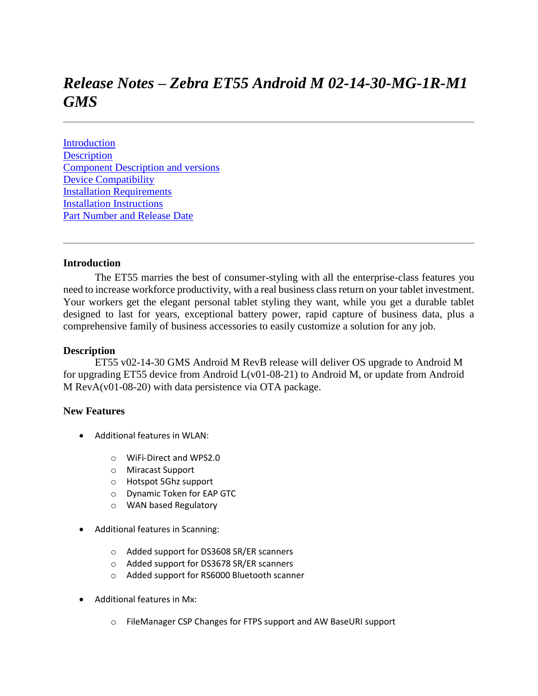# *Release Notes – Zebra ET55 Android M 02-14-30-MG-1R-M1 GMS*

**[Introduction](#page-0-0) [Description](#page-0-1)** [Component Description and versions](#page-1-0) [Device Compatibility](#page-6-0) [Installation Requirements](#page-6-1) [Installation Instructions](#page-6-2) [Part Number and Release Date](#page-6-3)

#### <span id="page-0-1"></span><span id="page-0-0"></span>**Introduction**

 The ET55 marries the best of consumer-styling with all the enterprise-class features you need to increase workforce productivity, with a real business class return on your tablet investment. Your workers get the elegant personal tablet styling they want, while you get a durable tablet designed to last for years, exceptional battery power, rapid capture of business data, plus a comprehensive family of business accessories to easily customize a solution for any job.

#### **Description**

ET55 v02-14-30 GMS Android M RevB release will deliver OS upgrade to Android M for upgrading ET55 device from Android L(v01-08-21) to Android M, or update from Android M RevA(v01-08-20) with data persistence via OTA package.

#### **New Features**

- Additional features in WLAN:
	- o WiFi-Direct and WPS2.0
	- o Miracast Support
	- o Hotspot 5Ghz support
	- o Dynamic Token for EAP GTC
	- o WAN based Regulatory
- Additional features in Scanning:
	- o Added support for DS3608 SR/ER scanners
	- o Added support for DS3678 SR/ER scanners
	- o Added support for RS6000 Bluetooth scanner
- Additional features in Mx:
	- o FileManager CSP Changes for FTPS support and AW BaseURI support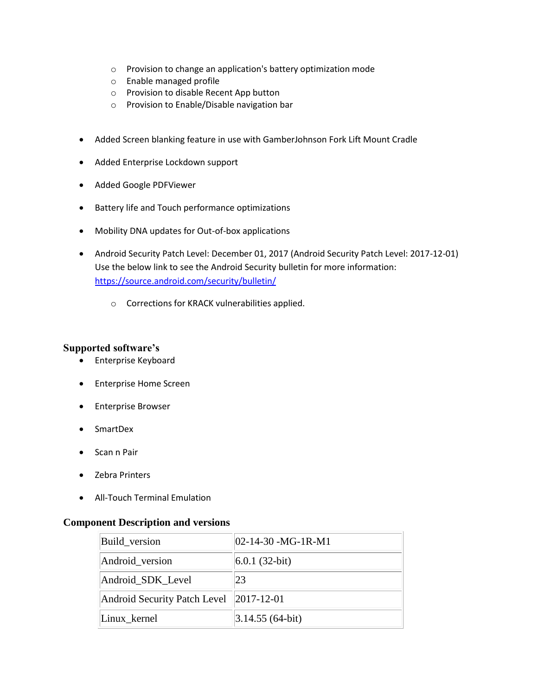- o Provision to change an application's battery optimization mode
- o Enable managed profile
- o Provision to disable Recent App button
- o Provision to Enable/Disable navigation bar
- Added Screen blanking feature in use with GamberJohnson Fork Lift Mount Cradle
- Added Enterprise Lockdown support
- Added Google PDFViewer
- Battery life and Touch performance optimizations
- Mobility DNA updates for Out-of-box applications
- Android Security Patch Level: December 01, 2017 (Android Security Patch Level: 2017-12-01) Use the below link to see the Android Security bulletin for more information: <https://source.android.com/security/bulletin/>
	- o Corrections for KRACK vulnerabilities applied.

#### **Supported software's**

- Enterprise Keyboard
- Enterprise Home Screen
- **•** Enterprise Browser
- SmartDex
- Scan n Pair
- Zebra Printers
- All-Touch Terminal Emulation

#### <span id="page-1-0"></span>**Component Description and versions**

| Build_version                           | $ 02-14-30 - MG-1R-M1$ |
|-----------------------------------------|------------------------|
| Android_version                         | $6.0.1(32-bit)$        |
| Android_SDK_Level                       | 23                     |
| Android Security Patch Level 2017-12-01 |                        |
| Linux_kernel                            | $ 3.14.55(64-bit) $    |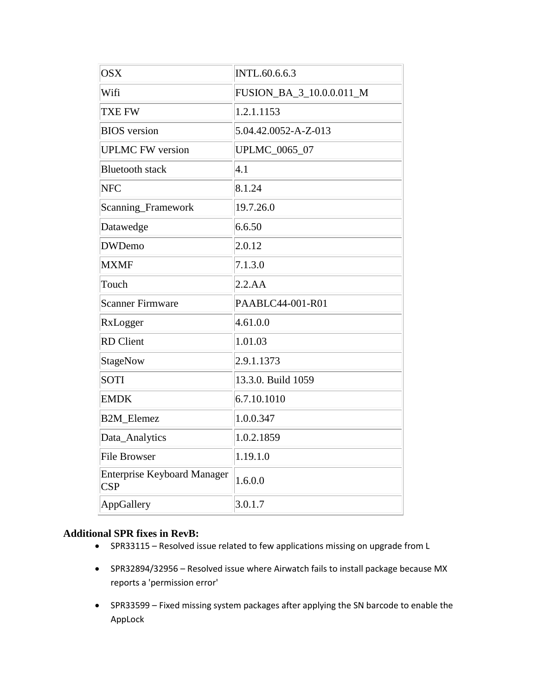| <b>OSX</b>                                       | INTL.60.6.6.3            |
|--------------------------------------------------|--------------------------|
| Wifi                                             | FUSION_BA_3_10.0.0.011_M |
| TXE FW                                           | 1.2.1.1153               |
| <b>BIOS</b> version                              | 5.04.42.0052-A-Z-013     |
| <b>UPLMC FW version</b>                          | UPLMC_0065_07            |
| <b>Bluetooth stack</b>                           | $ 4.1\rangle$            |
| <b>NFC</b>                                       | 8.1.24                   |
| Scanning_Framework                               | 19.7.26.0                |
| Datawedge                                        | 6.6.50                   |
| <b>DWDemo</b>                                    | 2.0.12                   |
| <b>MXMF</b>                                      | 7.1.3.0                  |
| Touch                                            | 2.2.AA                   |
| <b>Scanner Firmware</b>                          | PAABLC44-001-R01         |
| RxLogger                                         | 4.61.0.0                 |
| <b>RD</b> Client                                 | 1.01.03                  |
| StageNow                                         | 2.9.1.1373               |
| <b>SOTI</b>                                      | 13.3.0. Build 1059       |
| <b>EMDK</b>                                      | 6.7.10.1010              |
| <b>B2M_Elemez</b>                                | 1.0.0.347                |
| Data_Analytics                                   | 1.0.2.1859               |
| <b>File Browser</b>                              | 1.19.1.0                 |
| <b>Enterprise Keyboard Manager</b><br><b>CSP</b> | 1.6.0.0                  |
| AppGallery                                       | 3.0.1.7                  |

### **Additional SPR fixes in RevB:**

- SPR33115 Resolved issue related to few applications missing on upgrade from L
- SPR32894/32956 Resolved issue where Airwatch fails to install package because MX reports a 'permission error'
- SPR33599 Fixed missing system packages after applying the SN barcode to enable the AppLock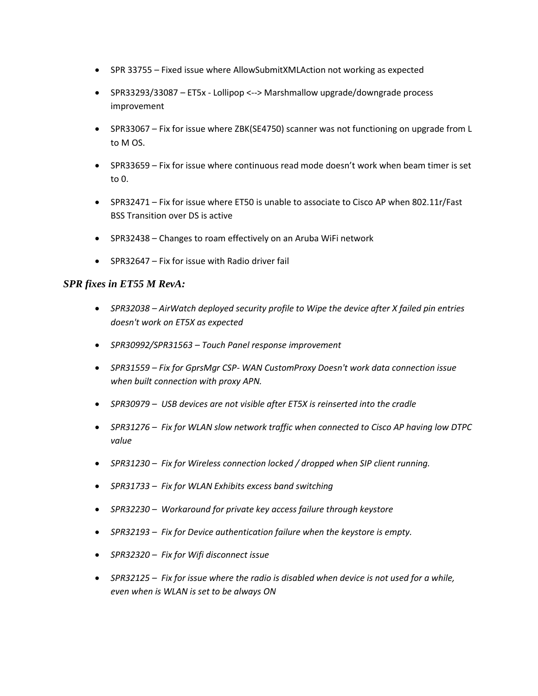- SPR 33755 Fixed issue where AllowSubmitXMLAction not working as expected
- SPR33293/33087 *–* ET5x Lollipop <--> Marshmallow upgrade/downgrade process improvement
- SPR33067 Fix for issue where ZBK(SE4750) scanner was not functioning on upgrade from L to M OS.
- SPR33659 Fix for issue where continuous read mode doesn't work when beam timer is set to 0.
- SPR32471 Fix for issue where ET50 is unable to associate to Cisco AP when 802.11r/Fast BSS Transition over DS is active
- SPR32438 Changes to roam effectively on an Aruba WiFi network
- SPR32647 Fix for issue with Radio driver fail

#### *SPR fixes in ET55 M RevA:*

- *SPR32038 – AirWatch deployed security profile to Wipe the device after X failed pin entries doesn't work on ET5X as expected*
- *SPR30992/SPR31563 – Touch Panel response improvement*
- *SPR31559 – Fix for GprsMgr CSP- WAN CustomProxy Doesn't work data connection issue when built connection with proxy APN.*
- *SPR30979 – USB devices are not visible after ET5X is reinserted into the cradle*
- *SPR31276 – Fix for WLAN slow network traffic when connected to Cisco AP having low DTPC value*
- *SPR31230 – Fix for Wireless connection locked / dropped when SIP client running.*
- *SPR31733 – Fix for WLAN Exhibits excess band switching*
- *SPR32230 – Workaround for private key access failure through keystore*
- *SPR32193 – Fix for Device authentication failure when the keystore is empty.*
- *SPR32320 – Fix for Wifi disconnect issue*
- *SPR32125 – Fix for issue where the radio is disabled when device is not used for a while, even when is WLAN is set to be always ON*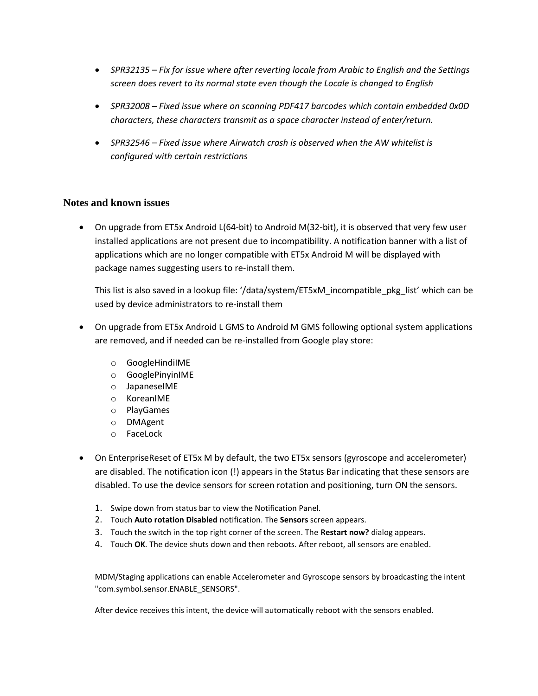- *SPR32135 – Fix for issue where after reverting locale from Arabic to English and the Settings screen does revert to its normal state even though the Locale is changed to English*
- *SPR32008 – Fixed issue where on scanning PDF417 barcodes which contain embedded 0x0D characters, these characters transmit as a space character instead of enter/return.*
- *SPR32546 – Fixed issue where Airwatch crash is observed when the AW whitelist is configured with certain restrictions*

#### **Notes and known issues**

 On upgrade from ET5x Android L(64-bit) to Android M(32-bit), it is observed that very few user installed applications are not present due to incompatibility. A notification banner with a list of applications which are no longer compatible with ET5x Android M will be displayed with package names suggesting users to re-install them.

This list is also saved in a lookup file: '/data/system/ET5xM\_incompatible\_pkg\_list' which can be used by device administrators to re-install them

- On upgrade from ET5x Android L GMS to Android M GMS following optional system applications are removed, and if needed can be re-installed from Google play store:
	- o GoogleHindiIME
	- o GooglePinyinIME
	- o JapaneseIME
	- o KoreanIME
	- o PlayGames
	- o DMAgent
	- o FaceLock
- On EnterpriseReset of ET5x M by default, the two ET5x sensors (gyroscope and accelerometer) are disabled. The notification icon (!) appears in the Status Bar indicating that these sensors are disabled. To use the device sensors for screen rotation and positioning, turn ON the sensors.
	- 1. Swipe down from status bar to view the Notification Panel.
	- 2. Touch **Auto rotation Disabled** notification. The **Sensors** screen appears.
	- 3. Touch the switch in the top right corner of the screen. The **Restart now?** dialog appears.
	- 4. Touch **OK**. The device shuts down and then reboots. After reboot, all sensors are enabled.

MDM/Staging applications can enable Accelerometer and Gyroscope sensors by broadcasting the intent "com.symbol.sensor.ENABLE\_SENSORS".

After device receives this intent, the device will automatically reboot with the sensors enabled.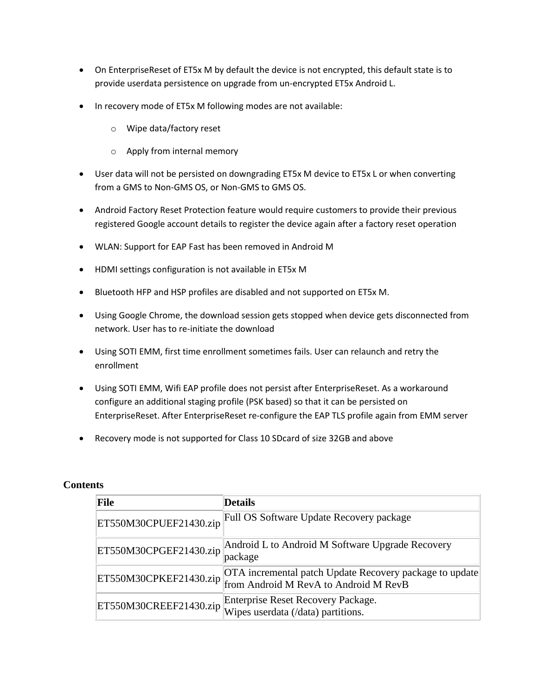- On EnterpriseReset of ET5x M by default the device is not encrypted, this default state is to provide userdata persistence on upgrade from un-encrypted ET5x Android L.
- In recovery mode of ET5x M following modes are not available:
	- o Wipe data/factory reset
	- o Apply from internal memory
- User data will not be persisted on downgrading ET5x M device to ET5x L or when converting from a GMS to Non-GMS OS, or Non-GMS to GMS OS.
- Android Factory Reset Protection feature would require customers to provide their previous registered Google account details to register the device again after a factory reset operation
- WLAN: Support for EAP Fast has been removed in Android M
- HDMI settings configuration is not available in ET5x M
- Bluetooth HFP and HSP profiles are disabled and not supported on ET5x M.
- Using Google Chrome, the download session gets stopped when device gets disconnected from network. User has to re-initiate the download
- Using SOTI EMM, first time enrollment sometimes fails. User can relaunch and retry the enrollment
- Using SOTI EMM, Wifi EAP profile does not persist after EnterpriseReset. As a workaround configure an additional staging profile (PSK based) so that it can be persisted on EnterpriseReset. After EnterpriseReset re-configure the EAP TLS profile again from EMM server
- Recovery mode is not supported for Class 10 SDcard of size 32GB and above

| <b>File</b>            | <b>Details</b>                                                                                       |
|------------------------|------------------------------------------------------------------------------------------------------|
| ET550M30CPUEF21430.zip | Full OS Software Update Recovery package                                                             |
| ET550M30CPGEF21430.zip | Android L to Android M Software Upgrade Recovery<br>package                                          |
| ET550M30CPKEF21430.zip | OTA incremental patch Update Recovery package to update  <br>  from Android M RevA to Android M RevB |
|                        | Enterprise Reset Recovery Package.<br>ET550M30CREEF21430.zip Wipes userdata (/data) partitions.      |

#### **Contents**